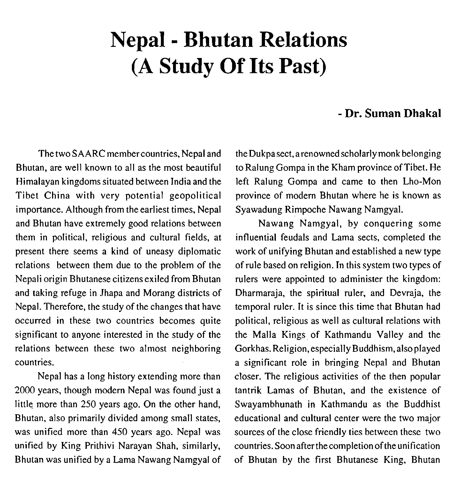## **Nepal** - **Bhutan Relations (A Study Of Its Past)**

## - **Dr. Suman Dhaka1**

The two SAARC membercountries, Nepal and Bhutan, are well known to all as the most beautiful Himalayan kingdoms situated between India and the Tibet China with very potential geopolitical importance. Although from the earliest times, Nepal and Bhutan have extremely good relations between them in political, religious and cultural fields, at present there seems a kind of uneasy diplomatic relations between them due to the problem of the Nepali origin Bhutanese citizensexiled from Bhutan and taking refuge in Jhapa and Morang districts of Nepal. Therefore, the study of the changes that have occurred in these two countries becomes quite significant to anyone interested in the study of the relations between these two almost neighboring countries.

Nepal has a long history extending more than 2000 years, though modem Nepal was found just a little more than 250 years ago. On the other hand, Bhutan, also primarily divided among small states, was unified more than 450 years ago. Nepal was unified by King Prithivi Narayan Shah, similarly, Bhutan was unified by a Lama Nawang Namgyal of

the Dukpa sect, a renowned scholarly monk belonging to Ralung Gompa in the Kham province of Tibet. He left Ralung Gompa and came to then Lho-Mon province of modern Bhutan where he is known as Syawadung Rimpoche Nawang Namgyal.

Nawang Namgyal, by conquering some influential feudals and Lama sects, completed the work of unifying Bhutan and established a new type of rule based on religion. In this system two types of rulers were appointed to administer the kingdom: Dharmaraja, the spiritual ruler, and Devraja, the temporal ruler. It is since this time that Bhutan had political, religious as well as cultural relations with the Malla Kings of Kathmandu Valley and the Gorkhas. Religion, especially Buddhism, also played a significant role in bringing Nepal and Bhutan closer. The religious activities of the then popular tantrik Lamas of Bhutan, and the existence of Swayambhunath in Kathmandu as the Buddhist educational and cultural center were the two major sources of the close friendly ties between these two countries. Soon afterthecompletion of the unification of Bhutan by the first Bhutanese King, Bhutan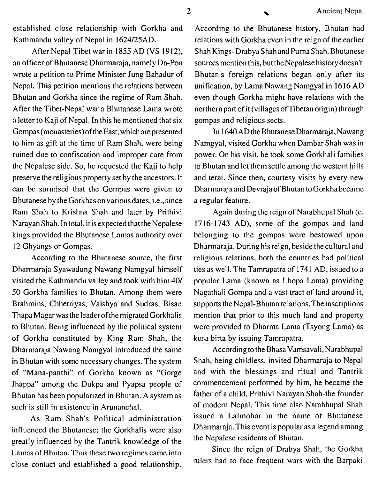established close relationship with Gorkha and Kathmandu valley of Nepal in 1624125AD.

After Nepal-Tibet war in 1855 AD (VS 1912), an officer of Bhutanese Dharmaraja, namely Da-Pon wrote a petition to Prime Minister Jung Bahadur of Nepal. This petition mentions the relations between Bhutan and Gorkha since the regime of Ram Shah. After the Tibet-Nepal war a Bhutanese Lama wrote a letter to Kaji of Nepal. In this he mentioned that six Gompas(monasteries)oftheEast, which are presented to him as gift at the time of Ram Shah, were being ruined due to confiscation and improper care from the Nepalese side. So, he requested the Kaji to help preserve the religious property set by the ancestors. It can be surmised that the Gompas were given to Bhutanese by the Gorkhas on variousdates, i.e., since Ram Shah to Krishna Shah and later by Prithivi Narayan Shah. In total, it is expected that the Nepalese kings provided the Bhutanese Lamas authority over 12 Ghyangs or Gompas.

According to the Bhutanese source, the first Dharmaraja Syawadung Nawang Namgyal himself visited the Kathmandu valley and took with him 401 50 Gorkha families to Bhutan. Among them were Brahmins, Chhetriyas, Vaishya and Sudras. Bisan Thapa Magarwas the leaderofthe migrated Gorkhalis to Bhutan. Being influenced by the political system of Gorkha constituted by King Ram Shah, the Dharmaraja Nawang Namgyal introduced the same in Bhutan with some necessary changes. The system of "Mana-panthi" of Gorkha known as "Gorge Jhappa" among the Dukpa and Pyapsa people of Bhutan has been popularized in Bhutan. A system as such is still in existence in Arunanchal.

As Ram Shah's Political administration influenced the Bhutanese; the Gorkhalis were also greatly influenced by the Tantrik knowledge of the Lamas of Bhutan. Thus these tworegimes came into close contact and established a good relationship.

According to the Bhutanese history, Bhutan had relations with Gorkha even in the reign of the earlier Shah Kings- DrabyaShah and PurnaShah. Bhutanese sources mention this, but the Nepalese history doesn't. Bhutan's foreign relations began only after its unification, by Lama Nawang Namgyal in 1616 AD even though Gorkha might have relations with the northern part of it (villages of Tibetan origin) through gompas and religious sects.

In 1640 AD the Bhutanese Dharmaraja, Nawang Namgyal, visited Gorkha when Dambar Shah was in power. On his visit, he took some Gorkhali families to Bhutan and let them settle among the western hills and terai. Since then, courtesy visits by every new Dharmarajaand Devrajaof Bhutan to Gorkha became a regular feature.

Again during the reign of Narabhupal Shah (c. 1716-1743 AD), some of the gompas and land belonging to the gompas were bestowed upon Dharmaraja. During his reign, beside the cultural and religious relations, both the countries had political ties as well. The Tamrapatra of 1741 AD, issued to a popular Lama (known as Lhopa Lama) providing Nagathali Gompa and a vast tract of land around it, supports the Nepal-Bhutan relations.The inscriptions mention that prior to this much land and property were provided to Dharma Lama (Tsyong Lama) as kusa birta by issuing Tamrapatra.

According to the Bhasa Vamsavali, Narabhupal Shah, being childless, invited Dharmaraja to Nepal and with the blessings and ritual and Tantrik commencement performed by him, he became the father of a child, Prithivi Narayan Shah-the founder of modern Nepal. This time also Narabhupal Shah issued a Lalmohar in the name of Bhutanese Dharmaraja. This event is popular as a legend among the Nepalese residents of Bhutan.

Since the reign of Drabya Shah, the Gorkha rulers had to face frequent wars with the Barpaki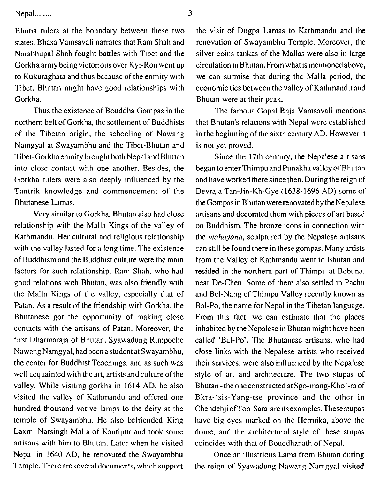$Nepal$ ..........  $3$ 

Bhutia rulers at the boundary between these two states. Bhasa Vamsavali narrates that Ram Shah and Narabhupal Shah fought battles with Tibet and the Gorkha army being victorious over Kyi-Ron went up to Kukuraghata and thus because of the enmity with Tibet, Bhutan might have good relationships with Gorkha.

Thus the existence of Bouddha Gompas in the northern belt of Gorkha, the settlement of Buddhists of the Tibetan origin, the schooling of Nawang Namgyal at Swayambhu and the Tibet-Bhutan and Tibet-Gorkhaenmity brought both Nepal and Bhutan into close contact with one another. Besides, the Gorkha rulers were also deeply influenced by the Tantrik knowledge and commencement of the Bhutanese Lamas.

Very similar to Gorkha, Bhutan also had close relationship with the Malla Kings of the valley of Kathmandu. Her cultural and religious relationship with the valley lasted for a long time. The existence of Buddhism and the Buddhist culture were the main factors for such relationship. Ram Shah, who had good relations with Bhutan, was also friendly with the Malla Kings of the valley, especially that of Patan. As a result of the friendship with Gorkha, the Bhutanese got the opportunity of making close contacts with the artisans of Patan. Moreover, the first Dharmaraja of Bhutan, Syawadung Rimpoche Nawang Namgyal, had been a student at Swayambhu, the center for Buddhist Teachings, and as such was well acquainted with the art, artists and culture of the valley. While visiting gorkha in 1614 AD, he also visited the valley of Kathmandu and offered one hundred thousand votive lamps to the deity at the temple of Swayambhu. He also befriended King Laxmi Narsingh Malla of Kantipur and took some artisans with him to Bhutan. Later when he visited Nepal in 1640 AD, he renovated the Swayambhu Temple. There are several documents, which support

the visit of Dugpa Lamas to Kathmandu and the renovation of Swayambhu Temple. Moreover, the silver coins-tankas-of the Mallas were also in large circulation in Bhutan. From what is mentioned above, we can surmise that during the Malla period, the economic ties between the valley of Kathmandu and Bhutan were at their peak.

The famous Gopal Raja Vamsavali mentions that Bhutan's relations with Nepal were established in the beginning of the sixth century AD. However it is not yet proved.

Since the 17th century, the Nepalese artisans began toenterThimpu and Punakha valley of Bhutan and have worked there since then. During the reign of Devraja Tan-Jin-Kh-Gye (1638-1696 AD) some of the Gompas in Bhutan were renovated by the Nepalese artisans and decorated them with pieces of art based on Buddhism. The bronze icons in connection with the *mahayana*, sculptured by the Nepalese artisans can still be found there in thesegompas. Many artists from the Valley of Kathmandu went to Bhutan and resided in the northern part of Thimpu at Bebuna, near De-Chen. Some of them also settled in Pachu and Bel-Nang of Thimpu Valley recently known as Bal-Po, the name for Nepal in the Tibetan language. From this fact, we can estimate that the places inhabited by the Nepalese in Bhutan might have been called 'Bal-Po'. The Bhutanese artisans, who had close links with the Nepalese artists who received their services, were also influenced by the Nepalese style of art and architecture. The two stupas of Bhutan - the oneconstructed at Sgo-mang-Kho'-ra of Bkra-'sis-Yang-tse province and the other in Chendebji ofTon-Sara-are itsexamples. These stupas have big eyes marked on the Hermika, above the dome, and the architectural style of these stupas coincides with that of Bouddhanath of Nepal.

Once an illustrious Lama from Bhutan during the reign of Syawadung Nawang Namgyal visited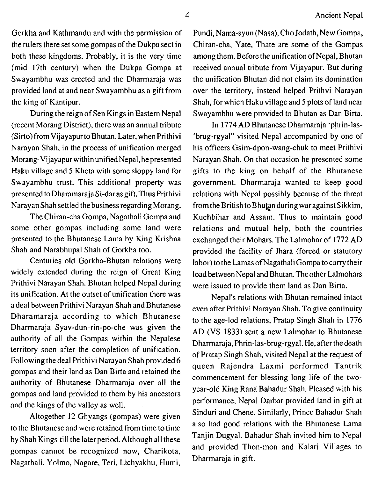the rulers there set some gompas of the Dukpa sect in both these kingdoms. Probably, it is the very time (mid 17th century) when the Dukpa Gompa at Swayambhu was erected and the Dharmaraja was provided land at and near Swayambhu as a gift from the king of Kantipur.

During the reign of Sen Kings in Eastern Nepal (recent Morang District), there was an annual tribute (Sirto)from VijayapurtoBhutan. Later, when Prithivi Narayan Shah, in the process of unification merged Morang-Vijayapurwithin unifiedNepa1, he presented Haku village and 5 Kheta with some sloppy land for Swayambhu trust. This additional property was presented to Dharamaraja Si-daras gift.Thus Prithivi Narayan Shahsettled the business regarding Morang.

The Chiran-cha Gompa, Nagathali Gompa and some other gompas including some land were presented to the Bhutanese Lama by King Krishna Shah and Narabhupal Shah of Gorkha too.

Centuries old Gorkha-Bhutan relations were widely extended during the reign of Great King Prithivi Narayan Shah. Bhutan helped Nepal during its unification. At the outset of unification there was a deal between Prithivi Narayan Shah and Bhutanese Dharamaraja according to which Bhutanese Dharmaraja Syav-dun-rin-po-che was given the authority of all the Gompas within the Nepalese territory soon after the completion of unification. Following the deal Prithivi Narayan Shah provided **6**  gompas and their land as Dan Birta and retained the authority of Bhutanese Dharmaraja over all the gompas and land provided to them by his ancestors and the kings of the valley as well.

Altogether 12 Ghyangs (gompas) were given to the Bhutanese and were retained from time to time by Shah Kings till the later period. Although all these gompas cannot be recognized now, Charikota, Nagathali, Yolmo, Nagare, Teri, Lichyakhu, Humi,

Gorkha and Kathmandu and with the permission of Pundi, Nama-syun (Nasa), Cho Jodath, New Gompa, Chiran-cha, Yate, Thate are some of the Gompas among them. Before the unification of Nepal, Bhutan received annual tribute from Vijayapur. But during the unification Bhutan did not claim its domination over the territory, instead helped Prithvi Narayan Shah, for which Haku village and 5 plots of land near Swayambhu were provided to Bhutan as Dan Birta.

> In 1774 AD Bhutanese Dharmaraja 'phrin-las- 'brug-rgyal" visited Nepal accompanied by one of his officers Gsim-dpon-wang-chuk to meet Prithivi Narayan Shah. On that occasion he presented some gifts to the king on behalf of the Bhutanese government. Dharmaraja wanted to keep good relations with Nepal possibly because of the threat from the British to Bhutan during war against Sikkim, Kuchbihar and Assam. Thus to maintain good relations and mutual help, both the countries exchanged their Mohars. The Lalmohar of 1772 AD provided the facility of Jhara (forced or statutory labor) to the Lamas of Nagathali Gompa to carry their load between Nepal and Bhutan. The other Lalmohars were issued to provide them land as Dan Birta.

> Nepal's relations with Bhutan remained intact even after Prithivi Narayan Shah. To give continuity to the age-lod relations, Pratap Singh Shah in **1776**  AD (VS 1833) sent a new Lalmohar to Bhutanese Dharmaraja, Phrin-las-brug-rgyal. He, after thedeath of Pratap Singh Shah, visited Nepal at the request of queen Rajendra Laxmi performed Tantrik commencement for blessing long life of the twoyear-old King Rana Bahadur Shah. Pleased with his performance, Nepal Darbar provided land in gift at Sinduri and Chene. Similarly, Prince Bahadur Shah also had good relations with the Bhutanese Lama Tanjin Dugyal. Bahadur Shah invited him to Nepal and provided Thon-mon and Kalari Villages to Dharmaraja in gift.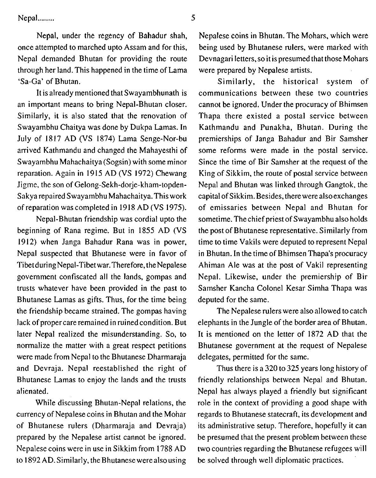Nepal ........ 5

Nepal, under the regency of Bahadur shah, once attempted to marched upto Assam and for this, Nepal demanded Bhutan for providing the route through her land. This happened in the time of Lama 'Sa-Ga' of Bhutan.

It is already mentioned that Swayambhunath is an important means to bring Nepal-Bhutan closer. Similarly, it is also stated that the renovation of Swayambhu Chaitya was done by Dukpa Lamas. In July of 1817 AD (VS 1874) Lama Senge-Nor-bu arrived Kathmandu and changed the Mahayesthi of Swayambhu Mahachaitya (Sogsin) with some minor reparation. Again in 1915 AD (VS 1972) Chewang Jigme, the son of Gelong-sekh-dorje-kham-topden-Sakya repaired Swayambhu Mahachaitya. This work of reparation was completed in 1918 AD (VS 1975).

Nepal-Bhutan friendship was cordial upto the beginning of Rana regime. But in 1855 AD (VS 1912) when Janga Bahadur Rana was in power, Nepal suspected that Bhutanese were in favor of Tibet during Nepal-Tibet war. Therefore, theNepalese government confiscated all the lands, gompas and trusts whatever have been provided in the past to Bhutanese Lamas as gifts. Thus, for the time being the friendship became strained. The gompas having lack of proper care remained in ruined condition. But later Nepal realized the misunderstanding. So, to normalize the matter with a great respect petitions were made from Nepal to the Bhutanese Dharmaraja and Devraja. Nepal reestablished the right of Bhutanese Lamas to enjoy the lands and the trusts alienated.

While discussing Bhutan-Nepal relations, the currency of Nepalese coins in Bhutan and the Mohar of Bhutanese rulers (Dharmaraja and Devraja) prepared by the Nepalese artist cannot be ignored. Nepalese coins were in use in Sikkim from 1788 AD to 1892 AD. Similarly, the Bhutanese were also using

Nepalese coins in Bhutan. The Mohars, which were being used by Bhutanese rulers, were marked with Devnagari letters, soit is presumed that those Mohars were prepared by Nepalese artists.

Similarly, the historical system of communications between these two countries cannot be ignored. Under the procuracy of Bhimsen Thapa there existed a postal service between Kathmandu and Punakha, Bhutan. During the premierships of Janga Bahadur and Bir Samsher some reforms were made in the postal service. Since the time of Bir Samsher at the request of the King of Sikkim, the route of postal service between Nepal and Bhutan was linked through Gangtok, the capital of Sikkim. Besides, there were alsoexchanges of emissaries between Nepal and Bhutan for sometime. The chief priest of Swayambhu also holds the post of Bhutanese representative. Similarly from time to time Vakils were deputed to represent Nepal in Bhutan. In the time of Bhimsen Thapa's procuracy Ahiman Ale was at the post of Vakil representing Nepal. Likewise, under the premiership of Bir Samsher Kancha Colonel Kesar Simha Thapa was deputed for the same.

The Nepalese rulers were also allowed to catch elephants in the Jungle of the border area of Bhutan. It is mentioned on the letter of 1872 AD that the Bhutanese government at the request of Nepalese delegates, permitted for the same.

Thus there is a 320 to 325 years long history of friendly relationships between Nepal and Bhutan. Nepal has always played a friendly but significant role in the context of providing a good shape with regards to Bhutanese statecraft, its development and its administrative setup. Therefore, hopefully it can be presumed that the present problem between these two countries regarding the Bhutanese refugees will be solved through well diplomatic practices.